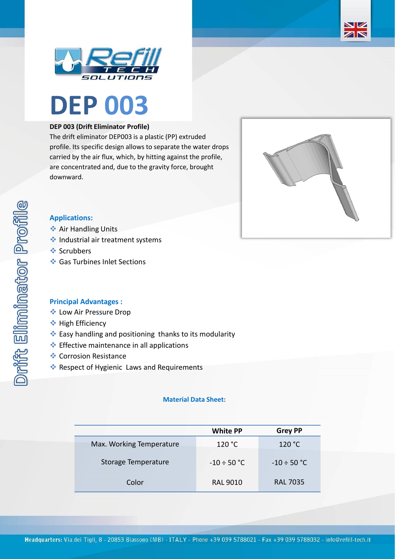





### **DEP 003 (Drift Eliminator Profile)**

The drift eliminator DEP003 is a plastic (PP) extruded profile. Its specific design allows to separate the water drops carried by the air flux, which, by hitting against the profile, are concentrated and, due to the gravity force, brought downward.



# **Applications:**

- **❖ Air Handling Units**
- ❖ Industrial air treatment systems
- ❖ Scrubbers
- ❖ Gas Turbines Inlet Sections

# **Principal Advantages :**

- ❖ Low Air Pressure Drop
- ❖ High Efficiency
- ❖ Easy handling and positioning thanks to its modularity
- ❖ Effective maintenance in all applications
- ❖ Corrosion Resistance
- ❖ Respect of Hygienic Laws and Requirements

### **Material Data Sheet:**

|                          | <b>White PP</b>  | <b>Grey PP</b>   |
|--------------------------|------------------|------------------|
| Max. Working Temperature | 120 °C           | 120 °C           |
| Storage Temperature      | $-10 \div 50$ °C | $-10 \div 50$ °C |
| Color                    | <b>RAL 9010</b>  | <b>RAL 7035</b>  |